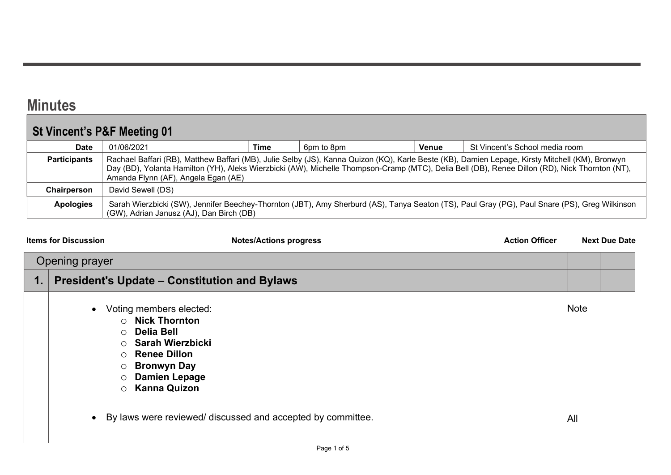## **Minutes**

## St Vincent's P&F Meeting 01

| <b>Date</b>                                                                                                                                                                                                                                                                                                                                                     | 01/06/2021                               | Time | 6pm to 8pm | Venue | St Vincent's School media room                                                                                                                |
|-----------------------------------------------------------------------------------------------------------------------------------------------------------------------------------------------------------------------------------------------------------------------------------------------------------------------------------------------------------------|------------------------------------------|------|------------|-------|-----------------------------------------------------------------------------------------------------------------------------------------------|
| Rachael Baffari (RB), Matthew Baffari (MB), Julie Selby (JS), Kanna Quizon (KQ), Karle Beste (KB), Damien Lepage, Kirsty Mitchell (KM), Bronwyn<br><b>Participants</b><br>Day (BD), Yolanta Hamilton (YH), Aleks Wierzbicki (AW), Michelle Thompson-Cramp (MTC), Delia Bell (DB), Renee Dillon (RD), Nick Thornton (NT),<br>Amanda Flynn (AF), Angela Egan (AE) |                                          |      |            |       |                                                                                                                                               |
| Chairperson                                                                                                                                                                                                                                                                                                                                                     | David Sewell (DS)                        |      |            |       |                                                                                                                                               |
| <b>Apologies</b>                                                                                                                                                                                                                                                                                                                                                | (GW), Adrian Janusz (AJ), Dan Birch (DB) |      |            |       | Sarah Wierzbicki (SW), Jennifer Beechey-Thornton (JBT), Amy Sherburd (AS), Tanya Seaton (TS), Paul Gray (PG), Paul Snare (PS), Greg Wilkinson |

| <b>Items for Discussion</b>                                                      | <b>Notes/Actions progress</b>                                                                                                                                                 | <b>Action Officer</b> |      | <b>Next Due Date</b> |
|----------------------------------------------------------------------------------|-------------------------------------------------------------------------------------------------------------------------------------------------------------------------------|-----------------------|------|----------------------|
| Opening prayer                                                                   |                                                                                                                                                                               |                       |      |                      |
|                                                                                  | <b>President's Update - Constitution and Bylaws</b>                                                                                                                           |                       |      |                      |
| $\bullet$<br>$\bigcirc$<br>$\circ$<br>∩<br>$\bigcirc$<br>$\circ$<br>O<br>$\circ$ | Voting members elected:<br><b>Nick Thornton</b><br>Delia Bell<br>Sarah Wierzbicki<br><b>Renee Dillon</b><br><b>Bronwyn Day</b><br><b>Damien Lepage</b><br><b>Kanna Quizon</b> |                       | Note |                      |
|                                                                                  | • By laws were reviewed/ discussed and accepted by committee.                                                                                                                 |                       | All  |                      |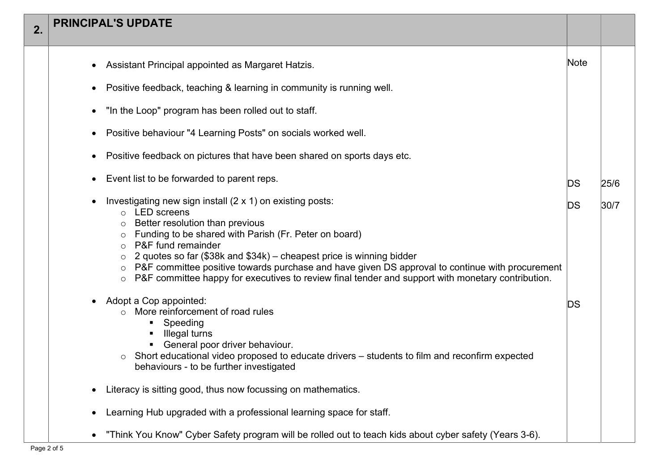| 2. | <b>PRINCIPAL'S UPDATE</b>                                                                                                                                                                                                                                                                                                                                                                                                                                                                                                         |      |      |
|----|-----------------------------------------------------------------------------------------------------------------------------------------------------------------------------------------------------------------------------------------------------------------------------------------------------------------------------------------------------------------------------------------------------------------------------------------------------------------------------------------------------------------------------------|------|------|
|    | Assistant Principal appointed as Margaret Hatzis.                                                                                                                                                                                                                                                                                                                                                                                                                                                                                 | Note |      |
|    | Positive feedback, teaching & learning in community is running well.<br>$\bullet$                                                                                                                                                                                                                                                                                                                                                                                                                                                 |      |      |
|    | "In the Loop" program has been rolled out to staff.<br>$\bullet$                                                                                                                                                                                                                                                                                                                                                                                                                                                                  |      |      |
|    | Positive behaviour "4 Learning Posts" on socials worked well.                                                                                                                                                                                                                                                                                                                                                                                                                                                                     |      |      |
|    | Positive feedback on pictures that have been shared on sports days etc.                                                                                                                                                                                                                                                                                                                                                                                                                                                           |      |      |
|    | Event list to be forwarded to parent reps.<br>$\bullet$                                                                                                                                                                                                                                                                                                                                                                                                                                                                           | DS   | 25/6 |
|    | Investigating new sign install (2 x 1) on existing posts:<br>$\bullet$<br>$\circ$ LED screens<br>Better resolution than previous<br>$\circ$<br>Funding to be shared with Parish (Fr. Peter on board)<br>P&F fund remainder<br>$\Omega$<br>2 quotes so far (\$38k and \$34k) – cheapest price is winning bidder<br>P&F committee positive towards purchase and have given DS approval to continue with procurement<br>P&F committee happy for executives to review final tender and support with monetary contribution.<br>$\circ$ | DS   | 30/7 |
|    | Adopt a Cop appointed:<br>$\bullet$<br>More reinforcement of road rules<br>$\Omega$<br>Speeding<br>п.<br>Illegal turns<br>General poor driver behaviour.<br>٠<br>Short educational video proposed to educate drivers – students to film and reconfirm expected<br>$\circ$<br>behaviours - to be further investigated                                                                                                                                                                                                              | DS   |      |
|    | Literacy is sitting good, thus now focussing on mathematics.                                                                                                                                                                                                                                                                                                                                                                                                                                                                      |      |      |
|    | Learning Hub upgraded with a professional learning space for staff.<br>٠                                                                                                                                                                                                                                                                                                                                                                                                                                                          |      |      |
|    | "Think You Know" Cyber Safety program will be rolled out to teach kids about cyber safety (Years 3-6).<br>$\bullet$                                                                                                                                                                                                                                                                                                                                                                                                               |      |      |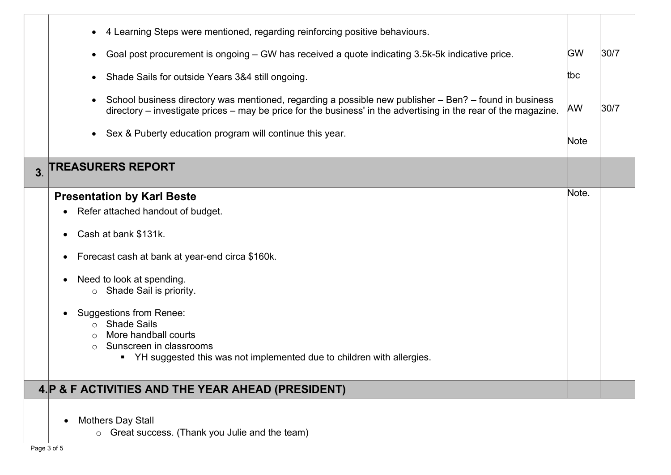|                | 4 Learning Steps were mentioned, regarding reinforcing positive behaviours.<br>Goal post procurement is ongoing – GW has received a quote indicating 3.5k-5k indicative price.<br>$\bullet$<br>Shade Sails for outside Years 3&4 still ongoing.<br>$\bullet$ | <b>GW</b><br>tbc | 30/7 |
|----------------|--------------------------------------------------------------------------------------------------------------------------------------------------------------------------------------------------------------------------------------------------------------|------------------|------|
|                | School business directory was mentioned, regarding a possible new publisher – Ben? – found in business<br>$\bullet$<br>directory – investigate prices – may be price for the business' in the advertising in the rear of the magazine.                       | <b>AW</b>        | 30/7 |
| 3 <sub>l</sub> | Sex & Puberty education program will continue this year.<br>$\bullet$<br><b>TREASURERS REPORT</b>                                                                                                                                                            | Note             |      |
|                |                                                                                                                                                                                                                                                              | Note.            |      |
|                | <b>Presentation by Karl Beste</b>                                                                                                                                                                                                                            |                  |      |
|                | Refer attached handout of budget.<br>$\bullet$                                                                                                                                                                                                               |                  |      |
|                | Cash at bank \$131k.                                                                                                                                                                                                                                         |                  |      |
|                | Forecast cash at bank at year-end circa \$160k.<br>$\bullet$                                                                                                                                                                                                 |                  |      |
|                | Need to look at spending.<br>Shade Sail is priority.<br>$\circ$                                                                                                                                                                                              |                  |      |
|                | <b>Suggestions from Renee:</b>                                                                                                                                                                                                                               |                  |      |
|                | <b>Shade Sails</b>                                                                                                                                                                                                                                           |                  |      |
|                | More handball courts                                                                                                                                                                                                                                         |                  |      |
|                | Sunscreen in classrooms<br>$\bigcirc$                                                                                                                                                                                                                        |                  |      |
|                | • YH suggested this was not implemented due to children with allergies.                                                                                                                                                                                      |                  |      |
|                | 4. P & F ACTIVITIES AND THE YEAR AHEAD (PRESIDENT)                                                                                                                                                                                                           |                  |      |
|                |                                                                                                                                                                                                                                                              |                  |      |
|                | <b>Mothers Day Stall</b>                                                                                                                                                                                                                                     |                  |      |
|                | o Great success. (Thank you Julie and the team)                                                                                                                                                                                                              |                  |      |
|                |                                                                                                                                                                                                                                                              |                  |      |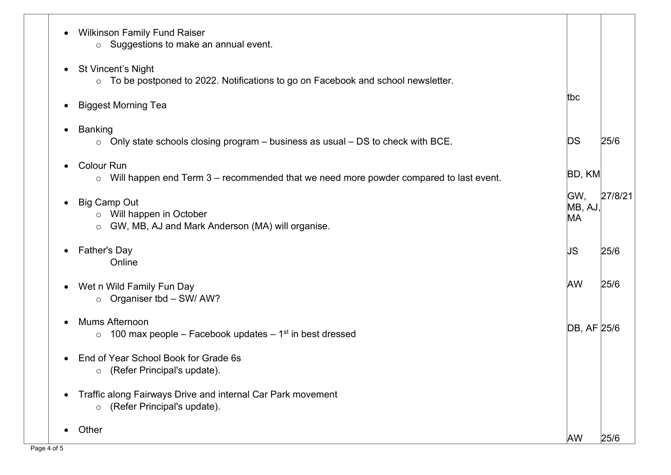| <b>Wilkinson Family Fund Raiser</b><br>o Suggestions to make an annual event.                                                     |                      |         |
|-----------------------------------------------------------------------------------------------------------------------------------|----------------------|---------|
| <b>St Vincent's Night</b><br>$\bullet$<br>$\circ$ To be postponed to 2022. Notifications to go on Facebook and school newsletter. |                      |         |
| <b>Biggest Morning Tea</b>                                                                                                        | ltbc                 |         |
| <b>Banking</b><br>$\bullet$<br>Only state schools closing program – business as usual – DS to check with BCE.<br>$\circ$          | DS                   | 25/6    |
| <b>Colour Run</b><br>Will happen end Term 3 – recommended that we need more powder compared to last event.<br>$\circ$             | BD, KM               |         |
| <b>Big Camp Out</b><br>$\bullet$<br>$\circ$ Will happen in October<br>GW, MB, AJ and Mark Anderson (MA) will organise.<br>$\circ$ | GW,<br>MB, AJ,<br>MA | 27/8/21 |
| <b>Father's Day</b><br>$\bullet$<br>Online                                                                                        | IJS                  | 25/6    |
| Wet n Wild Family Fun Day<br>$\bullet$<br>o Organiser tbd - SW/ AW?                                                               | <b>AW</b>            | 25/6    |
| Mums Afternoon<br>100 max people – Facebook updates – $1st$ in best dressed<br>$\circ$                                            | DB, AF 25/6          |         |
| End of Year School Book for Grade 6s<br>(Refer Principal's update).<br>$\circ$                                                    |                      |         |
| Traffic along Fairways Drive and internal Car Park movement<br>(Refer Principal's update).<br>$\circ$                             |                      |         |
| Other                                                                                                                             | <b>AW</b>            | 25/6    |